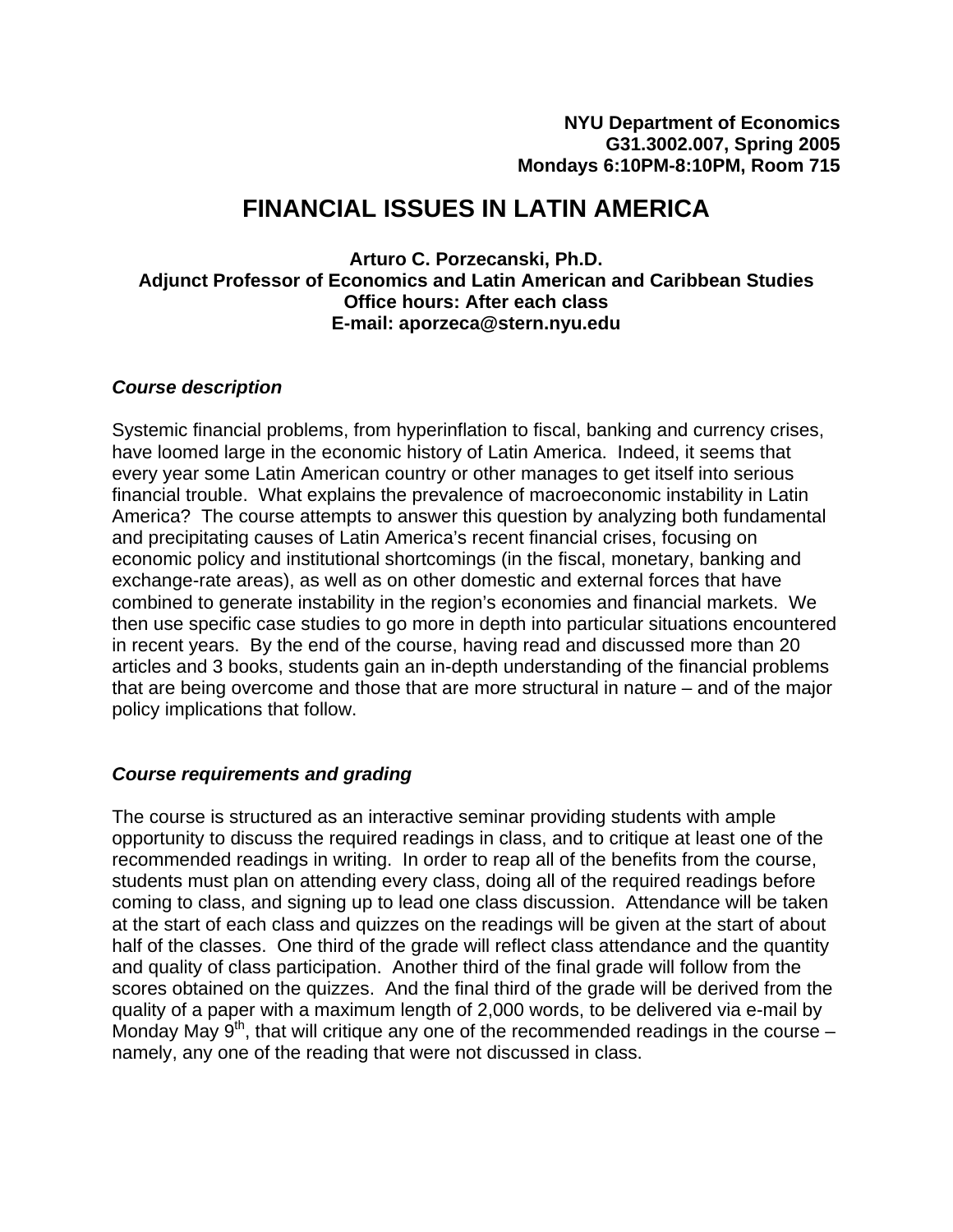# **FINANCIAL ISSUES IN LATIN AMERICA**

**Arturo C. Porzecanski, Ph.D. Adjunct Professor of Economics and Latin American and Caribbean Studies Office hours: After each class E-mail: aporzeca@stern.nyu.edu** 

#### *Course description*

Systemic financial problems, from hyperinflation to fiscal, banking and currency crises, have loomed large in the economic history of Latin America. Indeed, it seems that every year some Latin American country or other manages to get itself into serious financial trouble. What explains the prevalence of macroeconomic instability in Latin America? The course attempts to answer this question by analyzing both fundamental and precipitating causes of Latin America's recent financial crises, focusing on economic policy and institutional shortcomings (in the fiscal, monetary, banking and exchange-rate areas), as well as on other domestic and external forces that have combined to generate instability in the region's economies and financial markets. We then use specific case studies to go more in depth into particular situations encountered in recent years. By the end of the course, having read and discussed more than 20 articles and 3 books, students gain an in-depth understanding of the financial problems that are being overcome and those that are more structural in nature – and of the major policy implications that follow.

# *Course requirements and grading*

The course is structured as an interactive seminar providing students with ample opportunity to discuss the required readings in class, and to critique at least one of the recommended readings in writing. In order to reap all of the benefits from the course, students must plan on attending every class, doing all of the required readings before coming to class, and signing up to lead one class discussion. Attendance will be taken at the start of each class and quizzes on the readings will be given at the start of about half of the classes. One third of the grade will reflect class attendance and the quantity and quality of class participation. Another third of the final grade will follow from the scores obtained on the quizzes. And the final third of the grade will be derived from the quality of a paper with a maximum length of 2,000 words, to be delivered via e-mail by Monday May  $9<sup>th</sup>$ , that will critique any one of the recommended readings in the course – namely, any one of the reading that were not discussed in class.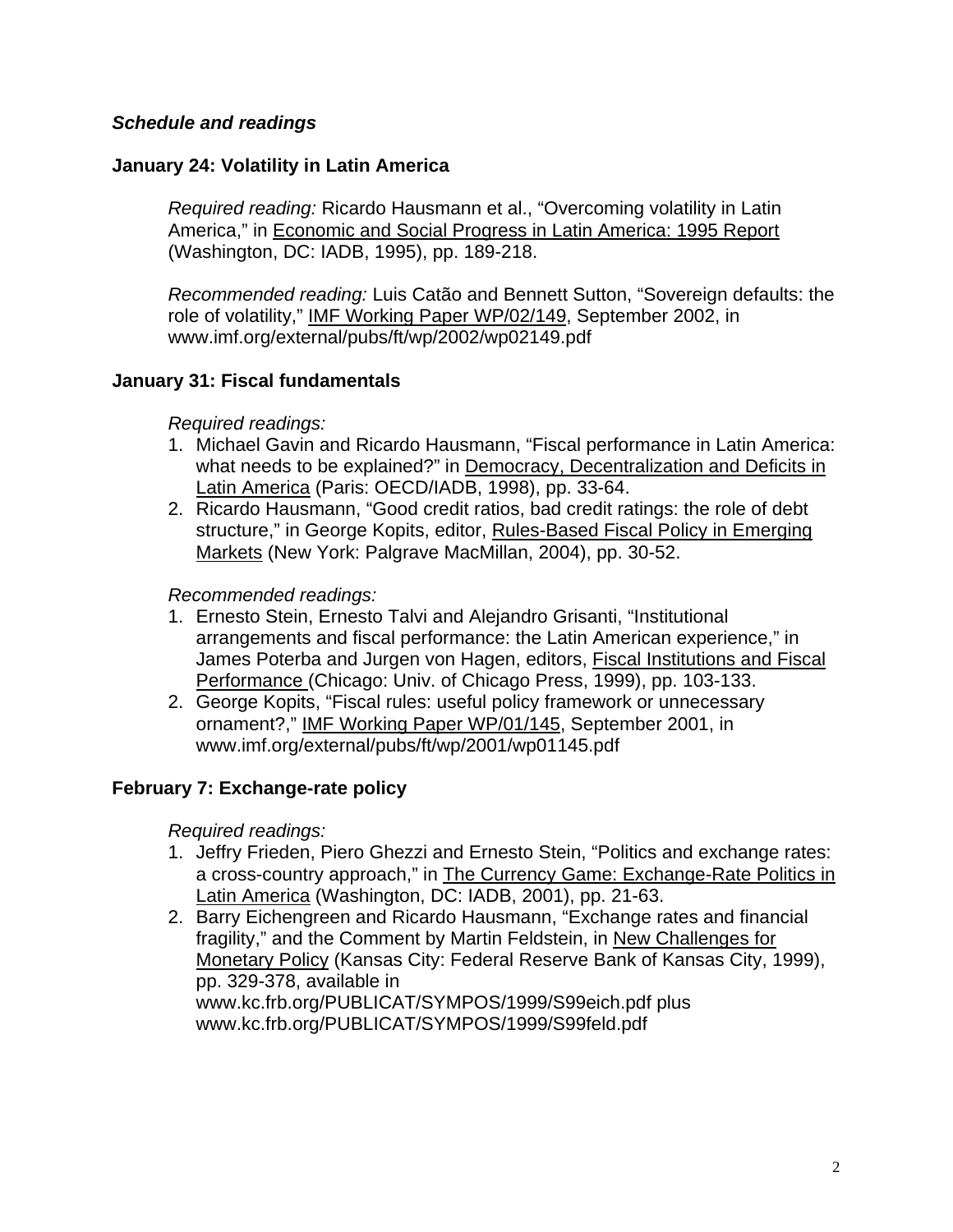# *Schedule and readings*

#### **January 24: Volatility in Latin America**

*Required reading:* Ricardo Hausmann et al., "Overcoming volatility in Latin America," in Economic and Social Progress in Latin America: 1995 Report (Washington, DC: IADB, 1995), pp. 189-218.

*Recommended reading:* Luis Catão and Bennett Sutton, "Sovereign defaults: the role of volatility," IMF Working Paper WP/02/149, September 2002, in www.imf.org/external/pubs/ft/wp/2002/wp02149.pdf

#### **January 31: Fiscal fundamentals**

*Required readings:*

- 1. Michael Gavin and Ricardo Hausmann, "Fiscal performance in Latin America: what needs to be explained?" in Democracy, Decentralization and Deficits in Latin America (Paris: OECD/IADB, 1998), pp. 33-64.
- 2. Ricardo Hausmann, "Good credit ratios, bad credit ratings: the role of debt structure," in George Kopits, editor, Rules-Based Fiscal Policy in Emerging Markets (New York: Palgrave MacMillan, 2004), pp. 30-52.

#### *Recommended readings:*

- 1. Ernesto Stein, Ernesto Talvi and Alejandro Grisanti, "Institutional arrangements and fiscal performance: the Latin American experience," in James Poterba and Jurgen von Hagen, editors, Fiscal Institutions and Fiscal Performance (Chicago: Univ. of Chicago Press, 1999), pp. 103-133.
- 2. George Kopits, "Fiscal rules: useful policy framework or unnecessary ornament?," IMF Working Paper WP/01/145, September 2001, in www.imf.org/external/pubs/ft/wp/2001/wp01145.pdf

#### **February 7: Exchange-rate policy**

*Required readings:*

- 1. Jeffry Frieden, Piero Ghezzi and Ernesto Stein, "Politics and exchange rates: a cross-country approach," in The Currency Game: Exchange-Rate Politics in Latin America (Washington, DC: IADB, 2001), pp. 21-63.
- 2. Barry Eichengreen and Ricardo Hausmann, "Exchange rates and financial fragility," and the Comment by Martin Feldstein, in New Challenges for Monetary Policy (Kansas City: Federal Reserve Bank of Kansas City, 1999), pp. 329-378, available in www.kc.frb.org/PUBLICAT/SYMPOS/1999/S99eich.pdf plus www.kc.frb.org/PUBLICAT/SYMPOS/1999/S99feld.pdf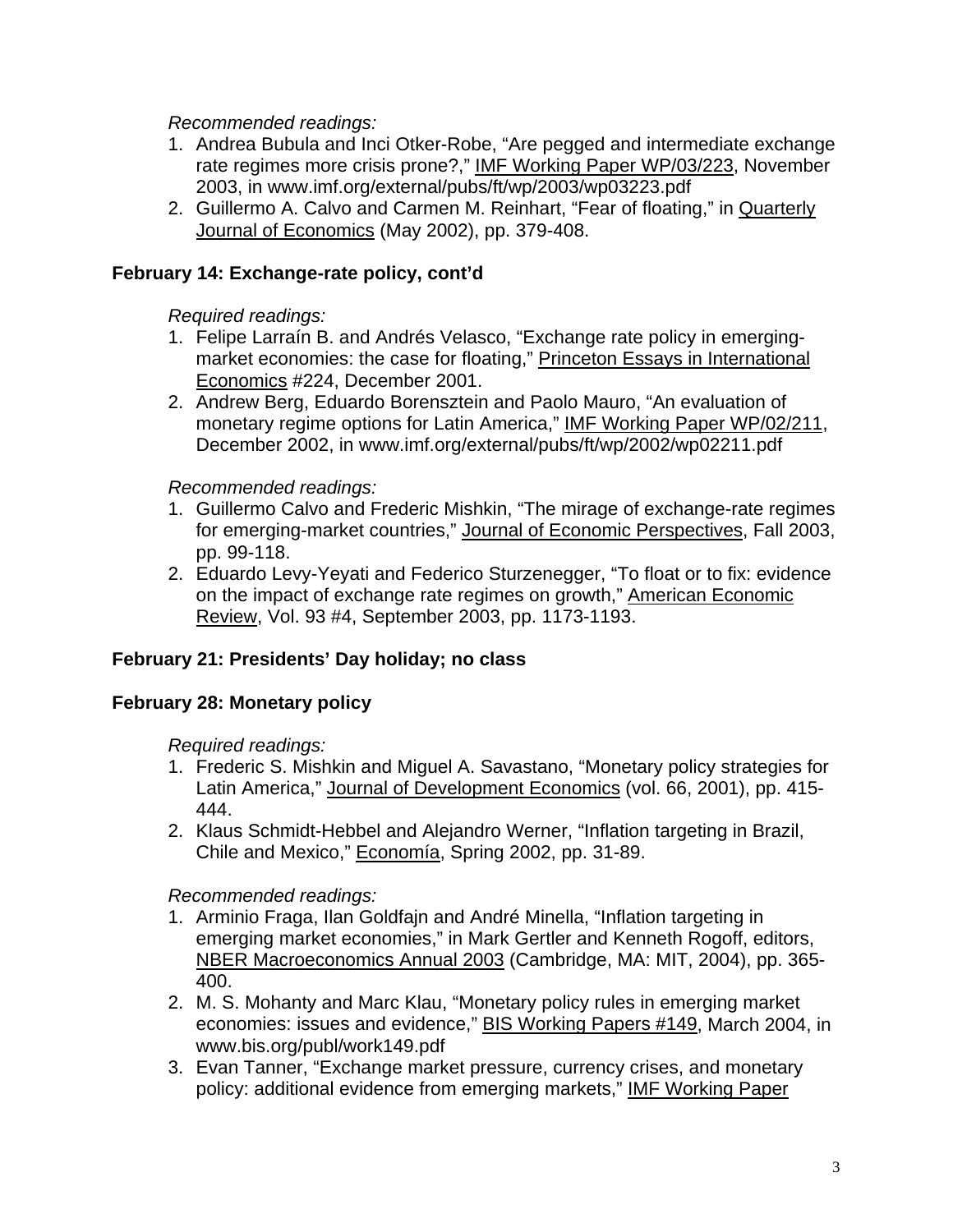*Recommended readings:*

- 1. Andrea Bubula and Inci Otker-Robe, "Are pegged and intermediate exchange rate regimes more crisis prone?," IMF Working Paper WP/03/223, November 2003, in www.imf.org/external/pubs/ft/wp/2003/wp03223.pdf
- 2. Guillermo A. Calvo and Carmen M. Reinhart, "Fear of floating," in Quarterly Journal of Economics (May 2002), pp. 379-408.

#### **February 14: Exchange-rate policy, cont'd**

#### *Required readings:*

- 1. Felipe Larraín B. and Andrés Velasco, "Exchange rate policy in emergingmarket economies: the case for floating," Princeton Essays in International Economics #224, December 2001.
- 2. Andrew Berg, Eduardo Borensztein and Paolo Mauro, "An evaluation of monetary regime options for Latin America," IMF Working Paper WP/02/211, December 2002, in www.imf.org/external/pubs/ft/wp/2002/wp02211.pdf

#### *Recommended readings:*

- 1. Guillermo Calvo and Frederic Mishkin, "The mirage of exchange-rate regimes for emerging-market countries," Journal of Economic Perspectives, Fall 2003, pp. 99-118.
- 2. Eduardo Levy-Yeyati and Federico Sturzenegger, "To float or to fix: evidence on the impact of exchange rate regimes on growth," American Economic Review, Vol. 93 #4, September 2003, pp. 1173-1193.

# **February 21: Presidents' Day holiday; no class**

#### **February 28: Monetary policy**

#### *Required readings:*

- 1. Frederic S. Mishkin and Miguel A. Savastano, "Monetary policy strategies for Latin America," Journal of Development Economics (vol. 66, 2001), pp. 415- 444.
- 2. Klaus Schmidt-Hebbel and Alejandro Werner, "Inflation targeting in Brazil, Chile and Mexico," Economía, Spring 2002, pp. 31-89.

#### *Recommended readings:*

- 1. Arminio Fraga, Ilan Goldfajn and André Minella, "Inflation targeting in emerging market economies," in Mark Gertler and Kenneth Rogoff, editors, NBER Macroeconomics Annual 2003 (Cambridge, MA: MIT, 2004), pp. 365- 400.
- 2. M. S. Mohanty and Marc Klau, "Monetary policy rules in emerging market economies: issues and evidence," BIS Working Papers #149, March 2004, in www.bis.org/publ/work149.pdf
- 3. Evan Tanner, "Exchange market pressure, currency crises, and monetary policy: additional evidence from emerging markets," IMF Working Paper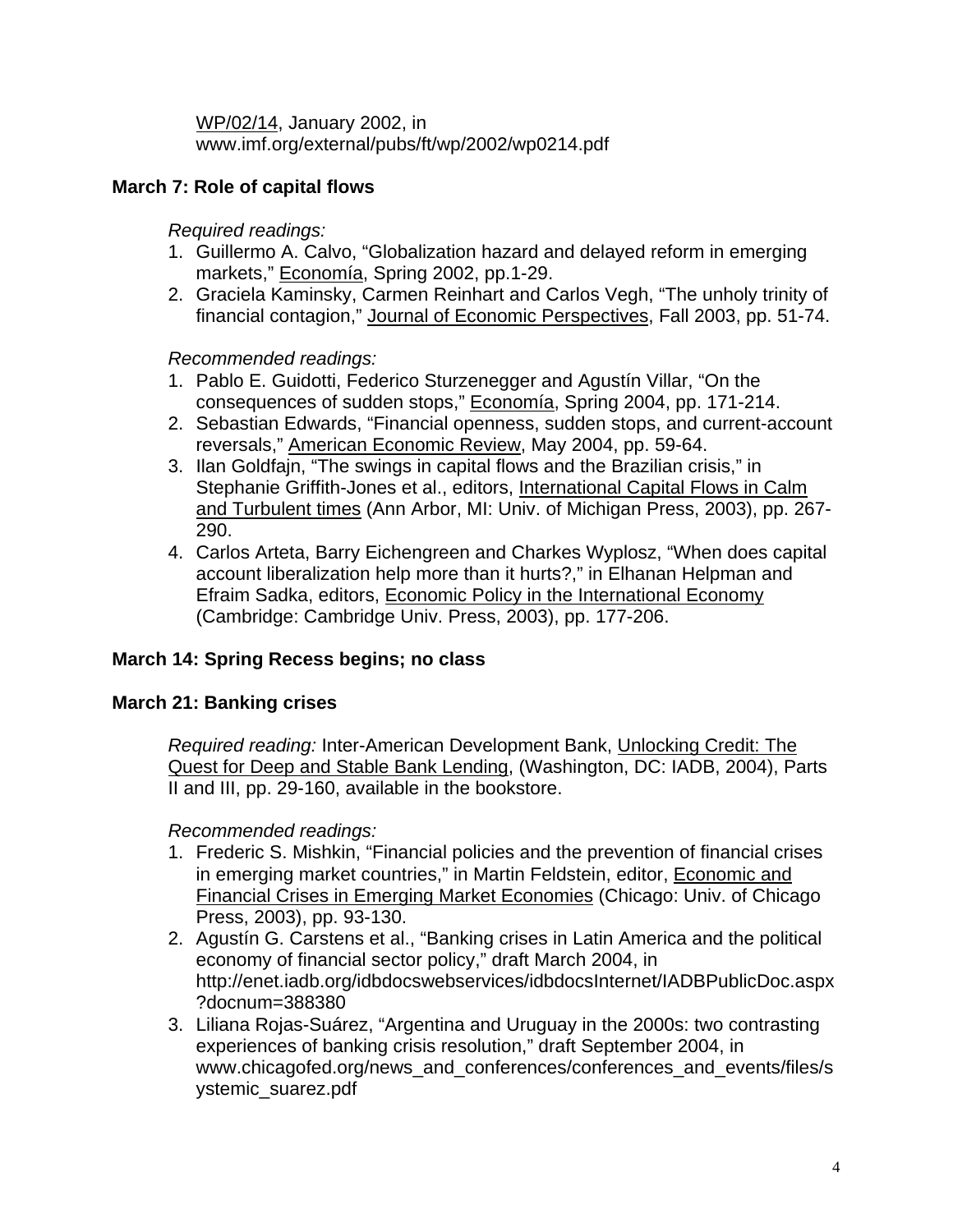WP/02/14, January 2002, in www.imf.org/external/pubs/ft/wp/2002/wp0214.pdf

# **March 7: Role of capital flows**

*Required readings:*

- 1. Guillermo A. Calvo, "Globalization hazard and delayed reform in emerging markets," Economía, Spring 2002, pp.1-29.
- 2. Graciela Kaminsky, Carmen Reinhart and Carlos Vegh, "The unholy trinity of financial contagion," Journal of Economic Perspectives, Fall 2003, pp. 51-74.

*Recommended readings:* 

- 1. Pablo E. Guidotti, Federico Sturzenegger and Agustín Villar, "On the consequences of sudden stops," Economía, Spring 2004, pp. 171-214.
- 2. Sebastian Edwards, "Financial openness, sudden stops, and current-account reversals," American Economic Review, May 2004, pp. 59-64.
- 3. Ilan Goldfajn, "The swings in capital flows and the Brazilian crisis," in Stephanie Griffith-Jones et al., editors, International Capital Flows in Calm and Turbulent times (Ann Arbor, MI: Univ. of Michigan Press, 2003), pp. 267- 290.
- 4. Carlos Arteta, Barry Eichengreen and Charkes Wyplosz, "When does capital account liberalization help more than it hurts?," in Elhanan Helpman and Efraim Sadka, editors, Economic Policy in the International Economy (Cambridge: Cambridge Univ. Press, 2003), pp. 177-206.

# **March 14: Spring Recess begins; no class**

# **March 21: Banking crises**

*Required reading:* Inter-American Development Bank, Unlocking Credit: The Quest for Deep and Stable Bank Lending, (Washington, DC: IADB, 2004), Parts II and III, pp. 29-160, available in the bookstore.

#### *Recommended readings:*

- 1. Frederic S. Mishkin, "Financial policies and the prevention of financial crises in emerging market countries," in Martin Feldstein, editor, Economic and Financial Crises in Emerging Market Economies (Chicago: Univ. of Chicago Press, 2003), pp. 93-130.
- 2. Agustín G. Carstens et al., "Banking crises in Latin America and the political economy of financial sector policy," draft March 2004, in http://enet.iadb.org/idbdocswebservices/idbdocsInternet/IADBPublicDoc.aspx ?docnum=388380
- 3. Liliana Rojas-Suárez, "Argentina and Uruguay in the 2000s: two contrasting experiences of banking crisis resolution," draft September 2004, in www.chicagofed.org/news\_and\_conferences/conferences\_and\_events/files/s ystemic\_suarez.pdf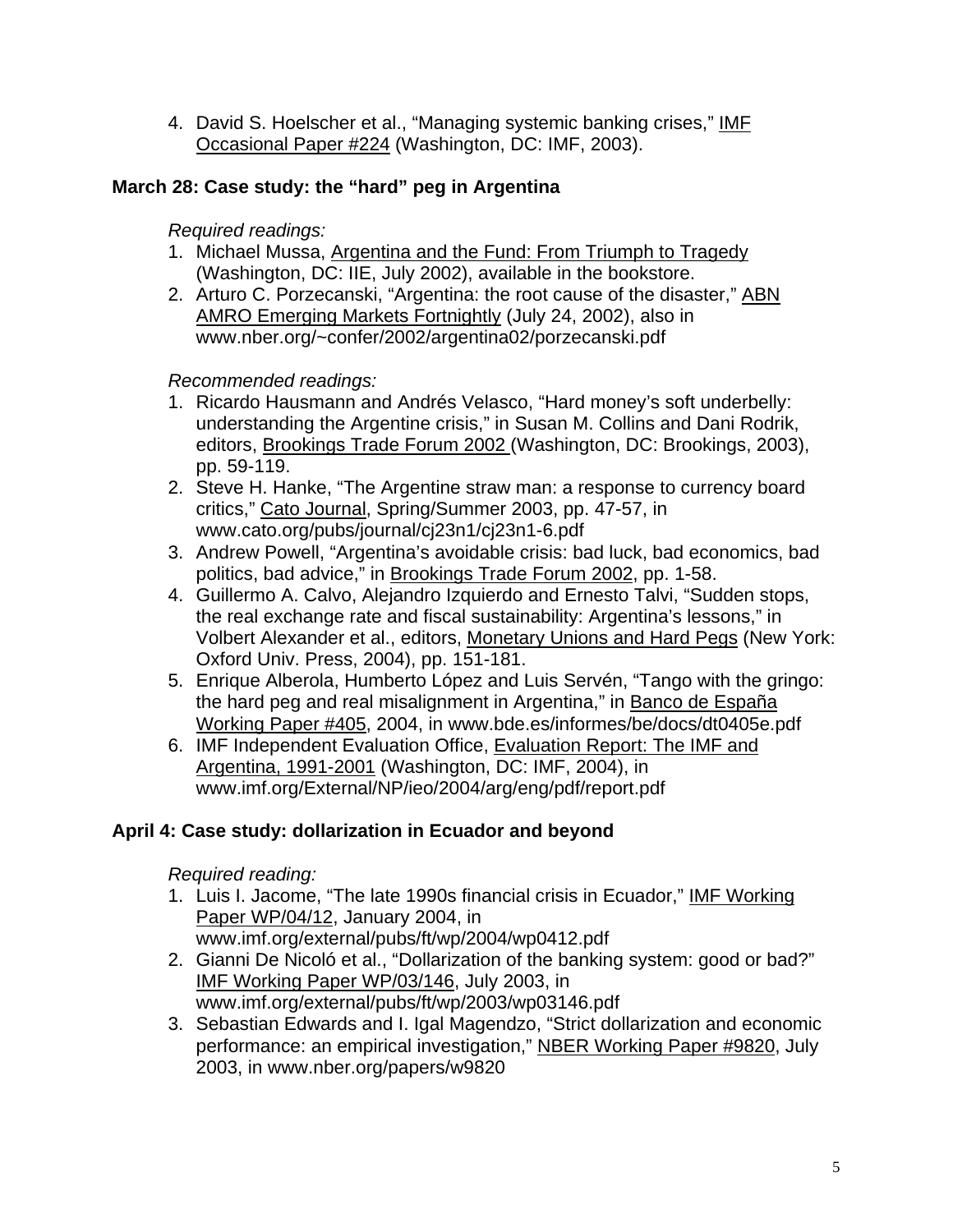4. David S. Hoelscher et al., "Managing systemic banking crises," IMF Occasional Paper #224 (Washington, DC: IMF, 2003).

# **March 28: Case study: the "hard" peg in Argentina**

*Required readings:* 

- 1. Michael Mussa, Argentina and the Fund: From Triumph to Tragedy (Washington, DC: IIE, July 2002), available in the bookstore.
- 2. Arturo C. Porzecanski, "Argentina: the root cause of the disaster," ABN AMRO Emerging Markets Fortnightly (July 24, 2002), also in www.nber.org/~confer/2002/argentina02/porzecanski.pdf

# *Recommended readings:*

- 1. Ricardo Hausmann and Andrés Velasco, "Hard money's soft underbelly: understanding the Argentine crisis," in Susan M. Collins and Dani Rodrik, editors, Brookings Trade Forum 2002 (Washington, DC: Brookings, 2003), pp. 59-119.
- 2. Steve H. Hanke, "The Argentine straw man: a response to currency board critics," Cato Journal, Spring/Summer 2003, pp. 47-57, in www.cato.org/pubs/journal/cj23n1/cj23n1-6.pdf
- 3. Andrew Powell, "Argentina's avoidable crisis: bad luck, bad economics, bad politics, bad advice," in Brookings Trade Forum 2002, pp. 1-58.
- 4. Guillermo A. Calvo, Alejandro Izquierdo and Ernesto Talvi, "Sudden stops, the real exchange rate and fiscal sustainability: Argentina's lessons," in Volbert Alexander et al., editors, Monetary Unions and Hard Pegs (New York: Oxford Univ. Press, 2004), pp. 151-181.
- 5. Enrique Alberola, Humberto López and Luis Servén, "Tango with the gringo: the hard peg and real misalignment in Argentina," in Banco de España Working Paper #405, 2004, in www.bde.es/informes/be/docs/dt0405e.pdf
- 6. IMF Independent Evaluation Office, Evaluation Report: The IMF and Argentina, 1991-2001 (Washington, DC: IMF, 2004), in www.imf.org/External/NP/ieo/2004/arg/eng/pdf/report.pdf

# **April 4: Case study: dollarization in Ecuador and beyond**

*Required reading:*

- 1. Luis I. Jacome, "The late 1990s financial crisis in Ecuador," IMF Working Paper WP/04/12, January 2004, in www.imf.org/external/pubs/ft/wp/2004/wp0412.pdf
- 2. Gianni De Nicoló et al., "Dollarization of the banking system: good or bad?" IMF Working Paper WP/03/146, July 2003, in www.imf.org/external/pubs/ft/wp/2003/wp03146.pdf
- 3. Sebastian Edwards and I. Igal Magendzo, "Strict dollarization and economic performance: an empirical investigation," NBER Working Paper #9820, July 2003, in www.nber.org/papers/w9820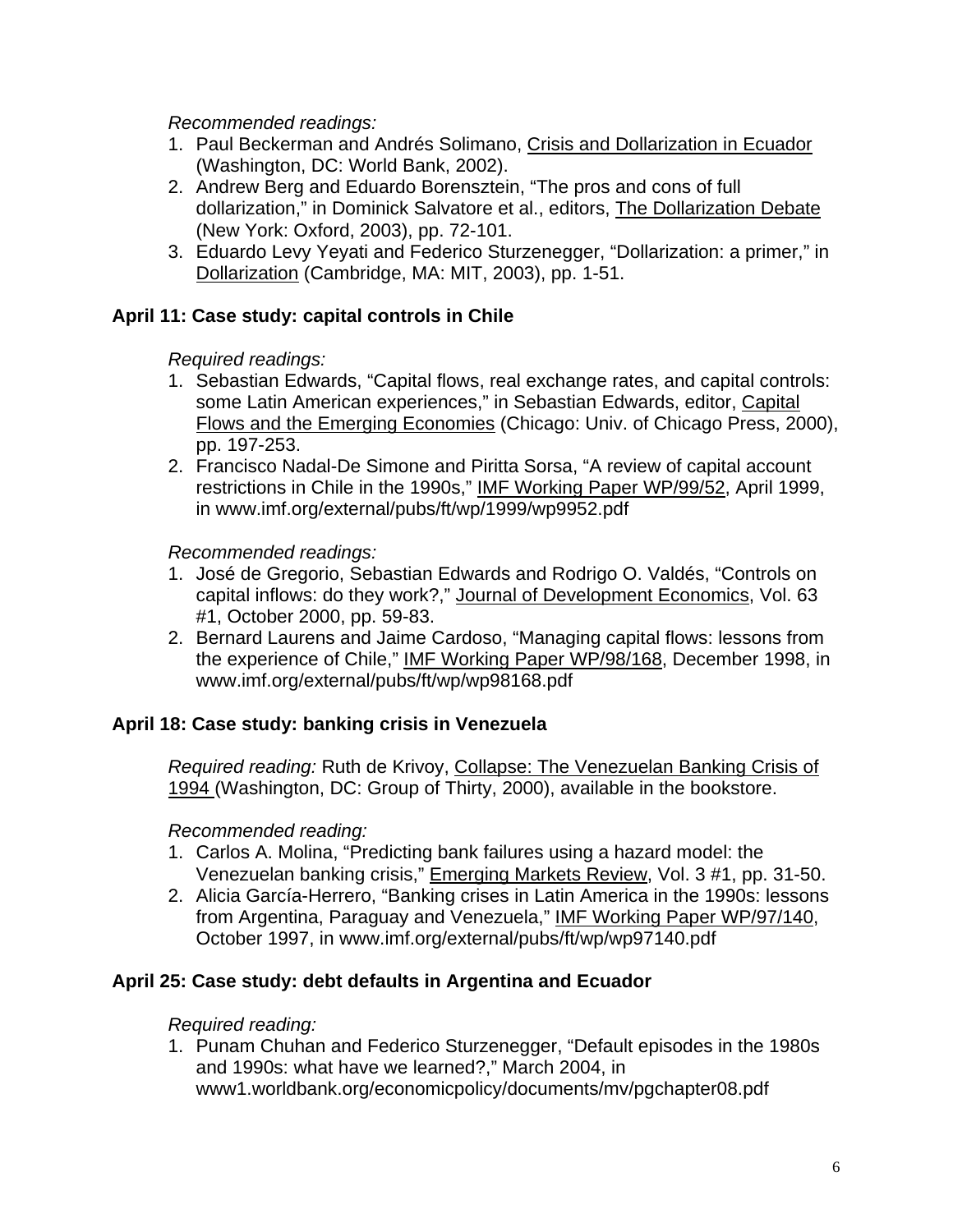*Recommended readings:*

- 1. Paul Beckerman and Andrés Solimano, Crisis and Dollarization in Ecuador (Washington, DC: World Bank, 2002).
- 2. Andrew Berg and Eduardo Borensztein, "The pros and cons of full dollarization," in Dominick Salvatore et al., editors, The Dollarization Debate (New York: Oxford, 2003), pp. 72-101.
- 3. Eduardo Levy Yeyati and Federico Sturzenegger, "Dollarization: a primer," in Dollarization (Cambridge, MA: MIT, 2003), pp. 1-51.

# **April 11: Case study: capital controls in Chile**

*Required readings:* 

- 1. Sebastian Edwards, "Capital flows, real exchange rates, and capital controls: some Latin American experiences," in Sebastian Edwards, editor, Capital Flows and the Emerging Economies (Chicago: Univ. of Chicago Press, 2000), pp. 197-253.
- 2. Francisco Nadal-De Simone and Piritta Sorsa, "A review of capital account restrictions in Chile in the 1990s," IMF Working Paper WP/99/52, April 1999, in www.imf.org/external/pubs/ft/wp/1999/wp9952.pdf

*Recommended readings:*

- 1. José de Gregorio, Sebastian Edwards and Rodrigo O. Valdés, "Controls on capital inflows: do they work?," Journal of Development Economics, Vol. 63 #1, October 2000, pp. 59-83.
- 2. Bernard Laurens and Jaime Cardoso, "Managing capital flows: lessons from the experience of Chile," IMF Working Paper WP/98/168, December 1998, in www.imf.org/external/pubs/ft/wp/wp98168.pdf

# **April 18: Case study: banking crisis in Venezuela**

*Required reading:* Ruth de Krivoy, Collapse: The Venezuelan Banking Crisis of 1994 (Washington, DC: Group of Thirty, 2000), available in the bookstore.

# *Recommended reading:*

- 1. Carlos A. Molina, "Predicting bank failures using a hazard model: the Venezuelan banking crisis," Emerging Markets Review, Vol. 3 #1, pp. 31-50.
- 2. Alicia García-Herrero, "Banking crises in Latin America in the 1990s: lessons from Argentina, Paraguay and Venezuela," IMF Working Paper WP/97/140, October 1997, in www.imf.org/external/pubs/ft/wp/wp97140.pdf

# **April 25: Case study: debt defaults in Argentina and Ecuador**

*Required reading:*

1. Punam Chuhan and Federico Sturzenegger, "Default episodes in the 1980s and 1990s: what have we learned?," March 2004, in www1.worldbank.org/economicpolicy/documents/mv/pgchapter08.pdf